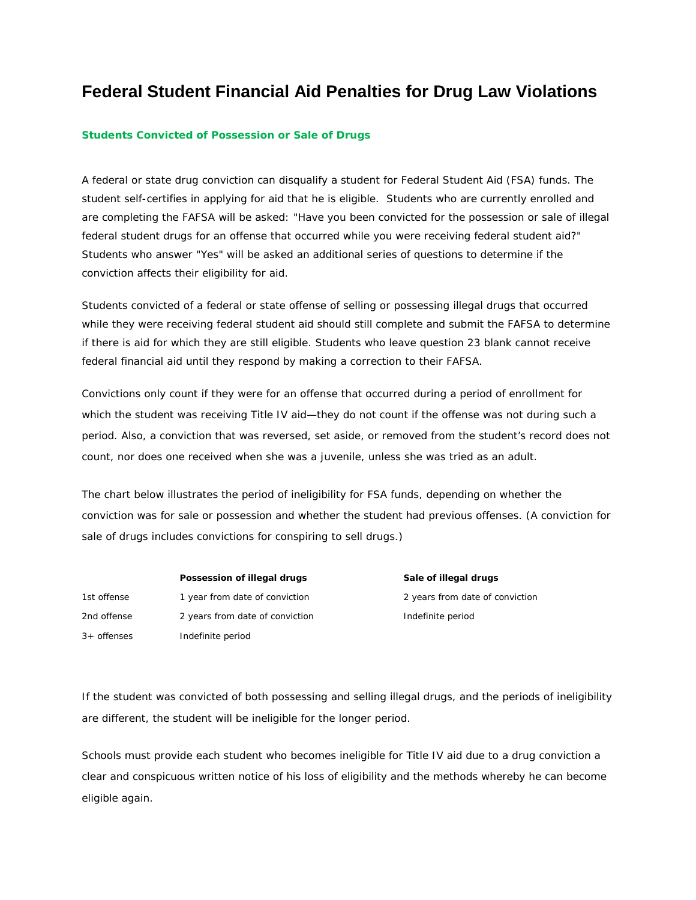## **Federal Student Financial Aid Penalties for Drug Law Violations**

## **Students Convicted of Possession or Sale of Drugs**

A federal or state drug conviction can disqualify a student for Federal Student Aid (FSA) funds. The student self-certifies in applying for aid that he is eligible. Students who are currently enrolled and are completing the FAFSA will be asked: "Have you been convicted for the possession or sale of illegal federal student drugs for an offense that occurred while you were receiving federal student aid?" Students who answer "Yes" will be asked an additional series of questions to determine if the conviction affects their eligibility for aid.

Students convicted of a federal or state offense of selling or possessing illegal drugs that occurred while they were receiving federal student aid should still complete and submit the FAFSA to determine if there is aid for which they are still eligible. Students who leave question 23 blank cannot receive federal financial aid until they respond by making a correction to their FAFSA.

Convictions only count if they were for an offense that occurred during a period of enrollment for which the student was receiving Title IV aid—they do not count if the offense was not during such a period. Also, a conviction that was reversed, set aside, or removed from the student's record does not count, nor does one received when she was a juvenile, unless she was tried as an adult.

The chart below illustrates the period of ineligibility for FSA funds, depending on whether the conviction was for sale or possession and whether the student had previous offenses. (A conviction for sale of drugs includes convictions for conspiring to sell drugs.)

1st offense 1 year from date of conviction 2 years from date of conviction 2nd offense 2 years from date of conviction and indefinite period 3+ offenses Indefinite period

Possession of illegal drugs **Sale of illegal drugs** Sale of illegal drugs

If the student was convicted of both possessing and selling illegal drugs, and the periods of ineligibility are different, the student will be ineligible for the longer period.

Schools must provide each student who becomes ineligible for Title IV aid due to a drug conviction a clear and conspicuous written notice of his loss of eligibility and the methods whereby he can become eligible again.